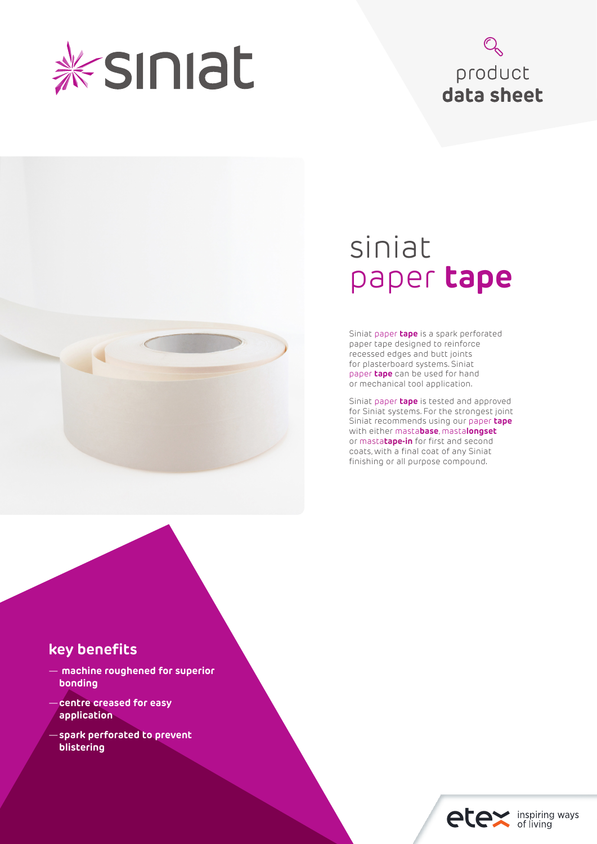

# product **data sheet**



# siniat paper **tape**

Siniat paper **tape** is a spark perforated paper tape designed to reinforce recessed edges and butt joints for plasterboard systems. Siniat paper **tape** can be used for hand or mechanical tool application.

Siniat paper **tape** is tested and approved for Siniat systems. For the strongest joint Siniat recommends using our paper **tape** with either masta**base**, masta**longset** or masta**tape-in** for first and second coats, with a final coat of any Siniat finishing or all purpose compound.

## **key benefits**

- — **machine roughened for superior bonding**
- —**centre creased for easy application**
- —**spark perforated to prevent blistering**

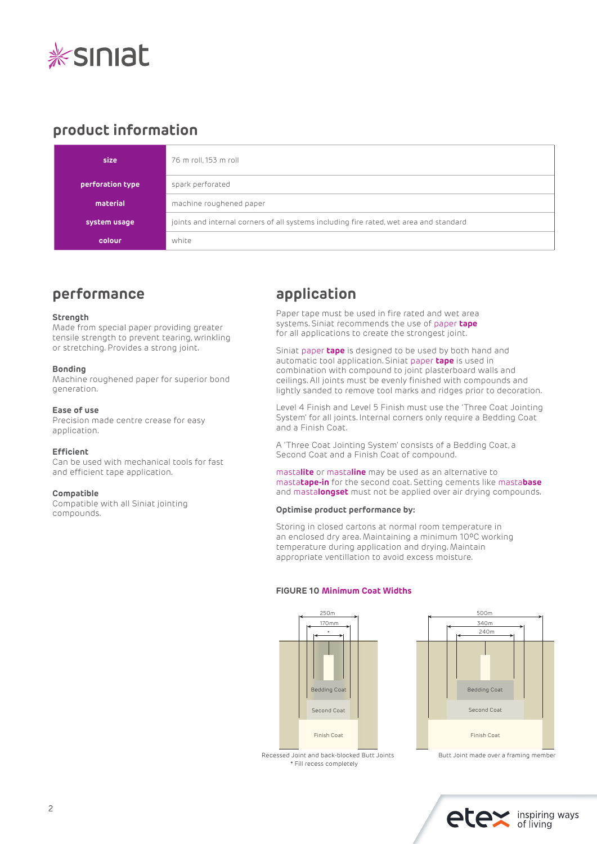

# **product information**

| size             | 76 m roll, 153 m roll                                                                  |
|------------------|----------------------------------------------------------------------------------------|
| perforation type | spark perforated                                                                       |
| material         | machine roughened paper                                                                |
| system usage     | joints and internal corners of all systems including fire rated, wet area and standard |
| colour           | white                                                                                  |

## **performance**

#### **Strength**

Made from special paper providing greater tensile strength to prevent tearing, wrinkling or stretching. Provides a strong joint.

#### **Bonding**

Machine roughened paper for superior bond generation.

#### **Ease of use**

Precision made centre crease for easy application.

#### **Efficient**

Can be used with mechanical tools for fast and efficient tape application.

#### **Compatible**

Compatible with all Siniat jointing compounds.

# **application**

Paper tape must be used in fire rated and wet area systems. Siniat recommends the use of paper **tape**  for all applications to create the strongest joint.

Siniat paper **tape** is designed to be used by both hand and automatic tool application. Siniat paper **tape** is used in combination with compound to joint plasterboard walls and ceilings. All joints must be evenly finished with compounds and lightly sanded to remove tool marks and ridges prior to decoration.

Level 4 Finish and Level 5 Finish must use the 'Three Coat Jointing System' for all joints. Internal corners only require a Bedding Coat and a Finish Coat.

A 'Three Coat Jointing System' consists of a Bedding Coat, a Second Coat and a Finish Coat of compound.

masta**lite** or masta**line** may be used as an alternative to masta**tape-in** for the second coat. Setting cements like masta**base** and masta**longset** must not be applied over air drying compounds.

#### **Optimise product performance by:**

Storing in closed cartons at normal room temperature in an enclosed dry area. Maintaining a minimum 10ºC working temperature during application and drying. Maintain appropriate ventillation to avoid excess moisture.

#### **FIGURE 10 Minimum Coat Widths**





<sup>\*</sup> Fill recess completely Recessed Joint and back-blocked Butt Joints Butt Joint made over a framing member